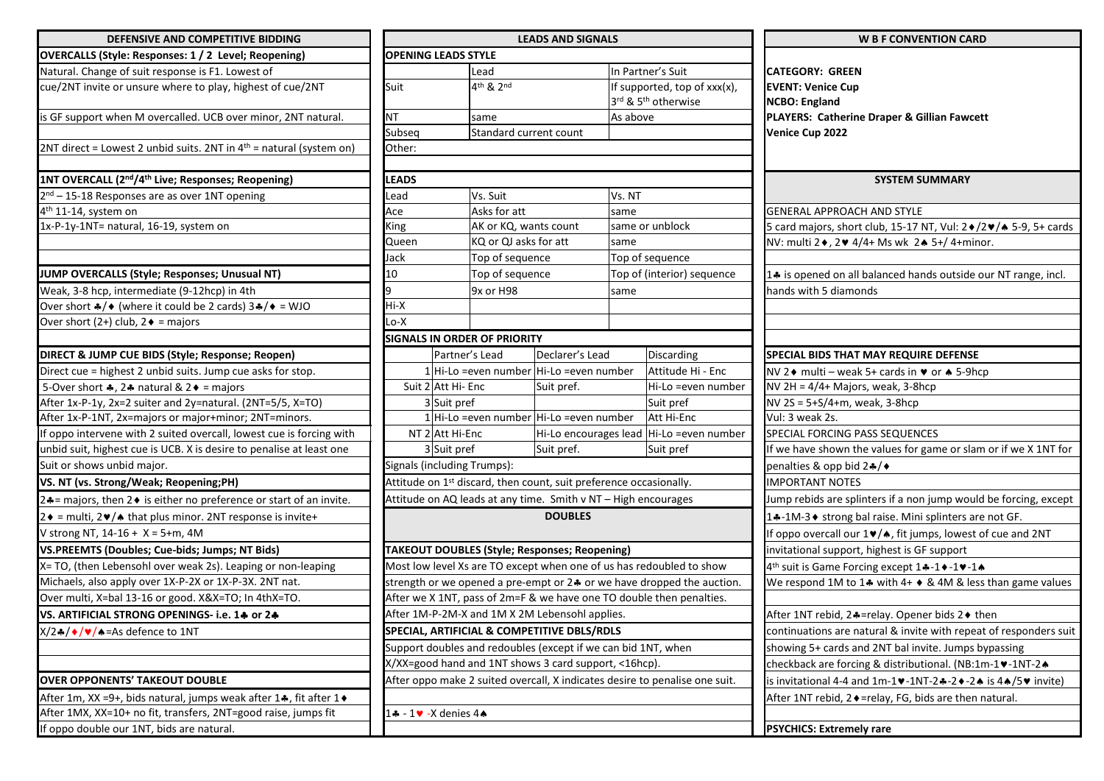| DEFENSIVE AND COMPETITIVE BIDDING                                             | <b>LEADS AND SIGNALS</b>                                      |                                                       |                             |                                   |                                                                    |                              |                                                                             |  |
|-------------------------------------------------------------------------------|---------------------------------------------------------------|-------------------------------------------------------|-----------------------------|-----------------------------------|--------------------------------------------------------------------|------------------------------|-----------------------------------------------------------------------------|--|
| <b>OVERCALLS (Style: Responses: 1 / 2 Level; Reopening)</b>                   |                                                               |                                                       | <b>OPENING LEADS STYLE</b>  |                                   |                                                                    |                              |                                                                             |  |
| Natural. Change of suit response is F1. Lowest of                             |                                                               |                                                       | Lead                        |                                   | In Partner's Suit                                                  |                              |                                                                             |  |
| cue/2NT invite or unsure where to play, highest of cue/2NT                    | Suit                                                          |                                                       |                             | 4 <sup>th</sup> & 2 <sup>nd</sup> |                                                                    | If supported, top of xxx(x), |                                                                             |  |
|                                                                               |                                                               |                                                       |                             |                                   |                                                                    |                              | 3rd & 5 <sup>th</sup> otherwise                                             |  |
| is GF support when M overcalled. UCB over minor, 2NT natural.                 |                                                               | ΝT                                                    |                             | same                              |                                                                    | As above                     |                                                                             |  |
|                                                                               |                                                               | Subseq                                                |                             | Standard current count            |                                                                    |                              |                                                                             |  |
| $2NT$ direct = Lowest 2 unbid suits. 2NT in $4th$ = natural (system on)       | Other:                                                        |                                                       |                             |                                   |                                                                    |                              |                                                                             |  |
|                                                                               |                                                               |                                                       |                             |                                   |                                                                    |                              |                                                                             |  |
| 1NT OVERCALL (2 <sup>nd</sup> /4 <sup>th</sup> Live; Responses; Reopening)    | LEADS                                                         |                                                       |                             |                                   |                                                                    |                              |                                                                             |  |
| 2 <sup>nd</sup> - 15-18 Responses are as over 1NT opening                     | Lead                                                          |                                                       |                             | Vs. Suit                          |                                                                    | Vs. NT                       |                                                                             |  |
| 4 <sup>th</sup> 11-14, system on                                              | Ace                                                           |                                                       |                             | Asks for att                      |                                                                    | same                         |                                                                             |  |
| 1x-P-1y-1NT= natural, 16-19, system on                                        |                                                               | King                                                  |                             | AK or KQ, wants count             |                                                                    | same or unblock              |                                                                             |  |
|                                                                               | Queen                                                         |                                                       |                             | KQ or QJ asks for att             |                                                                    | same                         |                                                                             |  |
|                                                                               | Jack                                                          |                                                       |                             | Top of sequence                   |                                                                    | Top of sequence              |                                                                             |  |
| JUMP OVERCALLS (Style; Responses; Unusual NT)                                 |                                                               | 10                                                    |                             | Top of sequence                   |                                                                    | Top of (interior) sequence   |                                                                             |  |
| Weak, 3-8 hcp, intermediate (9-12hcp) in 4th                                  | 9                                                             |                                                       |                             | 9x or H98                         |                                                                    | same                         |                                                                             |  |
| Over short $\frac{4}{9}$ (where it could be 2 cards) $3\frac{4}{9}$ = WJO     |                                                               | Hi-X                                                  |                             |                                   |                                                                    |                              |                                                                             |  |
| Over short (2+) club, $2 \triangleleft =$ majors                              |                                                               | Lo-X                                                  |                             |                                   |                                                                    |                              |                                                                             |  |
|                                                                               |                                                               |                                                       |                             | SIGNALS IN ORDER OF PRIORITY      |                                                                    |                              |                                                                             |  |
| DIRECT & JUMP CUE BIDS (Style; Response; Reopen)                              |                                                               |                                                       | Partner's Lead              |                                   | Declarer's Lead                                                    |                              | Discarding                                                                  |  |
| Direct cue = highest 2 unbid suits. Jump cue asks for stop.                   |                                                               |                                                       |                             |                                   | 1 Hi-Lo =even number Hi-Lo =even number                            |                              | Attitude Hi - Enc                                                           |  |
| 5-Over short $\clubsuit$ , 2 $\clubsuit$ natural & 2 $\spadesuit$ = majors    |                                                               |                                                       | Suit 2 Att Hi- Enc          |                                   | Suit pref.                                                         |                              | Hi-Lo =even numbe                                                           |  |
| After 1x-P-1y, 2x=2 suiter and 2y=natural. (2NT=5/5, X=TO)                    |                                                               |                                                       | 3 Suit pref                 |                                   |                                                                    |                              | Suit pref                                                                   |  |
| After 1x-P-1NT, 2x=majors or major+minor; 2NT=minors.                         |                                                               |                                                       |                             |                                   | 1 Hi-Lo = even number Hi-Lo = even number                          |                              | Att Hi-Enc                                                                  |  |
| If oppo intervene with 2 suited overcall, lowest cue is forcing with          |                                                               |                                                       | NT 2 Att Hi-Enc             |                                   |                                                                    |                              | Hi-Lo encourages lead Hi-Lo =even numbe                                     |  |
| unbid suit, highest cue is UCB. X is desire to penalise at least one          |                                                               | 3 Suit pref                                           |                             |                                   | Suit pref.                                                         |                              | Suit pref                                                                   |  |
| Suit or shows unbid major.                                                    |                                                               |                                                       | Signals (including Trumps): |                                   |                                                                    |                              |                                                                             |  |
| VS. NT (vs. Strong/Weak; Reopening;PH)                                        |                                                               |                                                       |                             |                                   | Attitude on 1st discard, then count, suit preference occasionally. |                              |                                                                             |  |
| 2.4 = majors, then 2 ♦ is either no preference or start of an invite.         |                                                               |                                                       |                             |                                   | Attitude on AQ leads at any time. Smith v NT - High encourages     |                              |                                                                             |  |
| $2 \cdot =$ multi, $2 \cdot / \cdot$ that plus minor. 2NT response is invite+ |                                                               |                                                       |                             |                                   | <b>DOUBLES</b>                                                     |                              |                                                                             |  |
| V strong NT, 14-16 + X = 5+m, 4M                                              |                                                               |                                                       |                             |                                   |                                                                    |                              |                                                                             |  |
| VS.PREEMTS (Doubles; Cue-bids; Jumps; NT Bids)                                |                                                               |                                                       |                             |                                   | TAKEOUT DOUBLES (Style; Responses; Reopening)                      |                              |                                                                             |  |
| X= TO, (then Lebensohl over weak 2s). Leaping or non-leaping                  |                                                               |                                                       |                             |                                   |                                                                    |                              | Most low level Xs are TO except when one of us has redoubled to show        |  |
| Michaels, also apply over 1X-P-2X or 1X-P-3X. 2NT nat.                        |                                                               |                                                       |                             |                                   |                                                                    |                              | strength or we opened a pre-empt or 24 or we have dropped the auction       |  |
| Over multi, X=bal 13-16 or good. X&X=TO; In 4thX=TO.                          |                                                               |                                                       |                             |                                   |                                                                    |                              | After we X 1NT, pass of 2m=F & we have one TO double then penalties.        |  |
| VS. ARTIFICIAL STRONG OPENINGS- i.e. 14 or 24                                 |                                                               |                                                       |                             |                                   | After 1M-P-2M-X and 1M X 2M Lebensohl applies.                     |                              |                                                                             |  |
| $X/2$ $\leftrightarrow$ / $\bullet$ / $\bullet$ = As defence to 1NT           |                                                               |                                                       |                             |                                   | SPECIAL, ARTIFICIAL & COMPETITIVE DBLS/RDLS                        |                              |                                                                             |  |
|                                                                               | Support doubles and redoubles (except if we can bid 1NT, when |                                                       |                             |                                   |                                                                    |                              |                                                                             |  |
|                                                                               |                                                               | X/XX=good hand and 1NT shows 3 card support, <16hcp). |                             |                                   |                                                                    |                              |                                                                             |  |
| <b>OVER OPPONENTS' TAKEOUT DOUBLE</b>                                         |                                                               |                                                       |                             |                                   |                                                                    |                              | After oppo make 2 suited overcall, X indicates desire to penalise one suit. |  |
| After 1m, XX =9+, bids natural, jumps weak after 14, fit after 1+             |                                                               |                                                       |                             |                                   |                                                                    |                              |                                                                             |  |
| After 1MX, XX=10+ no fit, transfers, 2NT=good raise, jumps fit                |                                                               |                                                       |                             |                                   |                                                                    |                              |                                                                             |  |
| If anno double our 1NT hide are natural                                       |                                                               |                                                       |                             |                                   |                                                                    |                              |                                                                             |  |

| DEFENSIVE AND COMPETITIVE BIDDING                                                           | <b>LEADS AND SIGNALS</b>                                                    |                                                 |                                                                                |                                                                        | <b>W B F CONVENTION CARD</b>                                               |  |  |
|---------------------------------------------------------------------------------------------|-----------------------------------------------------------------------------|-------------------------------------------------|--------------------------------------------------------------------------------|------------------------------------------------------------------------|----------------------------------------------------------------------------|--|--|
| <b>OVERCALLS (Style: Responses: 1 / 2 Level; Reopening)</b>                                 | <b>OPENING LEADS STYLE</b>                                                  |                                                 |                                                                                |                                                                        |                                                                            |  |  |
| Natural. Change of suit response is F1. Lowest of                                           | Lead                                                                        |                                                 |                                                                                | In Partner's Suit                                                      | <b>CATEGORY: GREEN</b>                                                     |  |  |
| cue/2NT invite or unsure where to play, highest of cue/2NT                                  | Suit                                                                        | 4th & 2nd                                       |                                                                                | If supported, top of xxx(x),<br>3rd & 5 <sup>th</sup> otherwise        | <b>EVENT: Venice Cup</b><br><b>NCBO: England</b>                           |  |  |
| is GF support when M overcalled. UCB over minor, 2NT natural.                               | <b>NT</b>                                                                   | same                                            |                                                                                | As above                                                               | PLAYERS: Catherine Draper & Gillian Fawcett                                |  |  |
|                                                                                             | Subseq                                                                      | Standard current count                          |                                                                                |                                                                        | Venice Cup 2022                                                            |  |  |
| 2NT direct = Lowest 2 unbid suits. 2NT in $4th$ = natural (system on)                       | Other:                                                                      |                                                 |                                                                                |                                                                        |                                                                            |  |  |
| 1NT OVERCALL (2 <sup>nd</sup> /4 <sup>th</sup> Live; Responses; Reopening)                  | <b>LEADS</b>                                                                |                                                 |                                                                                |                                                                        | <b>SYSTEM SUMMARY</b>                                                      |  |  |
| 2 <sup>nd</sup> – 15-18 Responses are as over 1NT opening                                   | Lead                                                                        | Vs. Suit                                        |                                                                                | Vs. NT                                                                 |                                                                            |  |  |
| 4 <sup>th</sup> 11-14, system on                                                            | Ace                                                                         | Asks for att                                    | same                                                                           |                                                                        | <b>GENERAL APPROACH AND STYLE</b>                                          |  |  |
| 1x-P-1y-1NT= natural, 16-19, system on                                                      | King                                                                        | AK or KQ, wants count                           |                                                                                | same or unblock                                                        | 5 card majors, short club, 15-17 NT, Vul: 2 + /2 + / + 5-9, 5+ cards       |  |  |
|                                                                                             | Queen                                                                       | KQ or QJ asks for att                           |                                                                                | same                                                                   | NV: multi 2♦, 2♥ 4/4+ Ms wk 2▲ 5+/4+minor.                                 |  |  |
|                                                                                             | Jack                                                                        | Top of sequence                                 |                                                                                | Top of sequence                                                        |                                                                            |  |  |
| JUMP OVERCALLS (Style; Responses; Unusual NT)                                               | 10                                                                          | Top of sequence                                 |                                                                                | Top of (interior) sequence                                             | 14 is opened on all balanced hands outside our NT range, incl.             |  |  |
| Weak, 3-8 hcp, intermediate (9-12hcp) in 4th                                                | I٩                                                                          | 9x or H98                                       |                                                                                | same                                                                   | hands with 5 diamonds                                                      |  |  |
| Over short $\clubsuit/\spadesuit$ (where it could be 2 cards) $3\clubsuit/\spadesuit = WJO$ | Hi-X                                                                        |                                                 |                                                                                |                                                                        |                                                                            |  |  |
| Over short (2+) club, $2 \triangleleft =$ majors                                            | Lo-X                                                                        |                                                 |                                                                                |                                                                        |                                                                            |  |  |
|                                                                                             |                                                                             | <b>SIGNALS IN ORDER OF PRIORITY</b>             |                                                                                |                                                                        |                                                                            |  |  |
| DIRECT & JUMP CUE BIDS (Style; Response; Reopen)                                            |                                                                             | Declarer's Lead<br>Partner's Lead<br>Discarding |                                                                                |                                                                        | <b>SPECIAL BIDS THAT MAY REQUIRE DEFENSE</b>                               |  |  |
| Direct cue = highest 2 unbid suits. Jump cue asks for stop.                                 |                                                                             | 1Hi-Lo =even number Hi-Lo =even number          |                                                                                | Attitude Hi - Enc                                                      | NV 2 ♦ multi – weak 5+ cards in • or ▲ 5-9hcp                              |  |  |
| 5-Over short $\clubsuit$ , 2 $\clubsuit$ natural & 2 $\spadesuit$ = majors                  |                                                                             | Suit 2 Att Hi- Enc<br>Suit pref.                |                                                                                | Hi-Lo =even number                                                     | NV 2H = 4/4+ Majors, weak, 3-8hcp                                          |  |  |
| After 1x-P-1y, 2x=2 suiter and 2y=natural. (2NT=5/5, X=TO)                                  |                                                                             | 3 Suit pref                                     |                                                                                | Suit pref                                                              | NV 2S = 5+S/4+m, weak, 3-8hcp                                              |  |  |
| After 1x-P-1NT, 2x=majors or major+minor; 2NT=minors.                                       |                                                                             | Hi-Lo =even number Hi-Lo =even number           |                                                                                | Att Hi-Enc                                                             | Vul: 3 weak 2s.                                                            |  |  |
| If oppo intervene with 2 suited overcall, lowest cue is forcing with                        |                                                                             | NT 2 Att Hi-Enc                                 |                                                                                | Hi-Lo encourages lead Hi-Lo =even number                               | SPECIAL FORCING PASS SEQUENCES                                             |  |  |
| unbid suit, highest cue is UCB. X is desire to penalise at least one                        |                                                                             | 3 Suit pref<br>Suit pref.<br>Suit pref          |                                                                                |                                                                        | If we have shown the values for game or slam or if we X 1NT for            |  |  |
| Suit or shows unbid major.                                                                  | Signals (including Trumps):                                                 |                                                 |                                                                                |                                                                        | penalties & opp bid 2.4/◆                                                  |  |  |
| VS. NT (vs. Strong/Weak; Reopening;PH)                                                      |                                                                             |                                                 | Attitude on 1 <sup>st</sup> discard, then count, suit preference occasionally. |                                                                        | <b>IMPORTANT NOTES</b>                                                     |  |  |
| 2.4 = majors, then $2 \bullet$ is either no preference or start of an invite.               |                                                                             |                                                 | Attitude on AQ leads at any time. Smith v NT - High encourages                 |                                                                        | Jump rebids are splinters if a non jump would be forcing, except           |  |  |
| $2 \cdot =$ multi, 2 $\cdot / \cdot$ that plus minor. 2NT response is invite+               |                                                                             | <b>DOUBLES</b>                                  |                                                                                |                                                                        | 1.4-1M-3 • strong bal raise. Mini splinters are not GF.                    |  |  |
| V strong NT, 14-16 + X = 5+m, 4M                                                            |                                                                             |                                                 |                                                                                |                                                                        | If oppo overcall our 1♥/▲, fit jumps, lowest of cue and 2NT                |  |  |
| VS.PREEMTS (Doubles; Cue-bids; Jumps; NT Bids)                                              |                                                                             |                                                 | TAKEOUT DOUBLES (Style; Responses; Reopening)                                  |                                                                        | invitational support, highest is GF support                                |  |  |
| X= TO, (then Lebensohl over weak 2s). Leaping or non-leaping                                |                                                                             |                                                 |                                                                                | Most low level Xs are TO except when one of us has redoubled to show   | 4 <sup>th</sup> suit is Game Forcing except 1÷-1◆-1♥-1◆                    |  |  |
| Michaels, also apply over 1X-P-2X or 1X-P-3X. 2NT nat.                                      |                                                                             |                                                 |                                                                                | strength or we opened a pre-empt or 24 or we have dropped the auction. | We respond 1M to 14 with $4+$ $\blacklozenge$ 8.4M & less than game values |  |  |
| Over multi, X=bal 13-16 or good. X&X=TO; In 4thX=TO.                                        |                                                                             |                                                 |                                                                                | After we X 1NT, pass of 2m=F & we have one TO double then penalties.   |                                                                            |  |  |
| VS. ARTIFICIAL STRONG OPENINGS- i.e. 14 or 24                                               |                                                                             |                                                 | After 1M-P-2M-X and 1M X 2M Lebensohl applies.                                 |                                                                        | After 1NT rebid, 2.4 = relay. Opener bids 2. ♦ then                        |  |  |
| $X/2$ $\clubsuit$ / $\blacktriangleright$ / $\blacklozenge$ = As defence to 1NT             | SPECIAL, ARTIFICIAL & COMPETITIVE DBLS/RDLS                                 |                                                 |                                                                                |                                                                        | continuations are natural & invite with repeat of responders suit          |  |  |
|                                                                                             |                                                                             |                                                 | Support doubles and redoubles (except if we can bid 1NT, when                  |                                                                        | showing 5+ cards and 2NT bal invite. Jumps bypassing                       |  |  |
|                                                                                             |                                                                             |                                                 | X/XX=good hand and 1NT shows 3 card support, <16hcp).                          |                                                                        | checkback are forcing & distributional. (NB:1m-1 · - 1NT-2 ^               |  |  |
| <b>OVER OPPONENTS' TAKEOUT DOUBLE</b>                                                       | After oppo make 2 suited overcall, X indicates desire to penalise one suit. |                                                 |                                                                                |                                                                        | is invitational 4-4 and 1m-1♥-1NT-2♣-2♦-2♠ is 4♠/5♥ invite)                |  |  |
| After 1m, XX =9+, bids natural, jumps weak after 14, fit after 1+                           |                                                                             |                                                 |                                                                                |                                                                        | After 1NT rebid, 2 · = relay, FG, bids are then natural.                   |  |  |
| After 1MX, XX=10+ no fit, transfers, 2NT=good raise, jumps fit                              | 1.4 - 1. V - X denies 4.                                                    |                                                 |                                                                                |                                                                        |                                                                            |  |  |
| If oppo double our 1NT, bids are natural.                                                   |                                                                             |                                                 |                                                                                |                                                                        | <b>PSYCHICS: Extremely rare</b>                                            |  |  |

| <b>CATEGORY: GREEN</b><br><b>EVENT: Venice Cup</b><br><b>NCBO: England</b><br>PLAYERS: Catherine Draper & Gillian Fawcett<br>Venice Cup 2022<br><b>SYSTEM SUMMARY</b><br><b>GENERAL APPROACH AND STYLE</b><br>5 card majors, short club, 15-17 NT, Vul: 2 + /2 + / + 5-9, 5+ cards<br>NV: multi 2+, 2+ 4/4+ Ms wk 2+ 5+/4+minor.<br>14 is opened on all balanced hands outside our NT range, incl.<br>hands with 5 diamonds |
|-----------------------------------------------------------------------------------------------------------------------------------------------------------------------------------------------------------------------------------------------------------------------------------------------------------------------------------------------------------------------------------------------------------------------------|
|                                                                                                                                                                                                                                                                                                                                                                                                                             |
|                                                                                                                                                                                                                                                                                                                                                                                                                             |
|                                                                                                                                                                                                                                                                                                                                                                                                                             |
|                                                                                                                                                                                                                                                                                                                                                                                                                             |
|                                                                                                                                                                                                                                                                                                                                                                                                                             |
|                                                                                                                                                                                                                                                                                                                                                                                                                             |
|                                                                                                                                                                                                                                                                                                                                                                                                                             |
|                                                                                                                                                                                                                                                                                                                                                                                                                             |
|                                                                                                                                                                                                                                                                                                                                                                                                                             |
|                                                                                                                                                                                                                                                                                                                                                                                                                             |
|                                                                                                                                                                                                                                                                                                                                                                                                                             |
|                                                                                                                                                                                                                                                                                                                                                                                                                             |
|                                                                                                                                                                                                                                                                                                                                                                                                                             |
|                                                                                                                                                                                                                                                                                                                                                                                                                             |
|                                                                                                                                                                                                                                                                                                                                                                                                                             |
|                                                                                                                                                                                                                                                                                                                                                                                                                             |
| SPECIAL BIDS THAT MAY REQUIRE DEFENSE                                                                                                                                                                                                                                                                                                                                                                                       |
| NV 2 $\bullet$ multi – weak 5+ cards in $\bullet$ or $\bullet$ 5-9hcp                                                                                                                                                                                                                                                                                                                                                       |
| $\overline{NV}$ 2H = 4/4+ Majors, weak, 3-8hcp                                                                                                                                                                                                                                                                                                                                                                              |
| NV $2S = 5 + S/4 + m$ , weak, 3-8hcp                                                                                                                                                                                                                                                                                                                                                                                        |
| Vul: 3 weak 2s.                                                                                                                                                                                                                                                                                                                                                                                                             |
| SPECIAL FORCING PASS SEQUENCES                                                                                                                                                                                                                                                                                                                                                                                              |
| If we have shown the values for game or slam or if we X 1NT for                                                                                                                                                                                                                                                                                                                                                             |
| penalties & opp bid 2*/◆                                                                                                                                                                                                                                                                                                                                                                                                    |
| <b>IMPORTANT NOTES</b>                                                                                                                                                                                                                                                                                                                                                                                                      |
| Jump rebids are splinters if a non jump would be forcing, except                                                                                                                                                                                                                                                                                                                                                            |
| 1.4-1M-3 ♦ strong bal raise. Mini splinters are not GF.                                                                                                                                                                                                                                                                                                                                                                     |
| If oppo overcall our 1 $\blacktriangledown/\spadesuit$ , fit jumps, lowest of cue and 2NT                                                                                                                                                                                                                                                                                                                                   |
| invitational support, highest is GF support                                                                                                                                                                                                                                                                                                                                                                                 |
| 4 <sup>th</sup> suit is Game Forcing except 14-1+-1+-14                                                                                                                                                                                                                                                                                                                                                                     |
| We respond 1M to 14 with $4+$ 0 & 4M & less than game values                                                                                                                                                                                                                                                                                                                                                                |
|                                                                                                                                                                                                                                                                                                                                                                                                                             |
| After 1NT rebid, 2♣=relay. Opener bids 2♦ then                                                                                                                                                                                                                                                                                                                                                                              |
| continuations are natural & invite with repeat of responders suit                                                                                                                                                                                                                                                                                                                                                           |
| showing 5+ cards and 2NT bal invite. Jumps bypassing                                                                                                                                                                                                                                                                                                                                                                        |
| checkback are forcing & distributional. (NB:1m-1♥-1NT-2▲                                                                                                                                                                                                                                                                                                                                                                    |
| is invitational 4-4 and 1m-1 $\blacktriangledown$ -1NT-2 $\clubsuit$ -2 $\blacktriangleright$ -2 $\spadesuit$ is 4 $\spadesuit$ /5 $\blacktriangleright$ invite)                                                                                                                                                                                                                                                            |
| After 1NT rebid, 2♦=relay, FG, bids are then natural.                                                                                                                                                                                                                                                                                                                                                                       |
|                                                                                                                                                                                                                                                                                                                                                                                                                             |